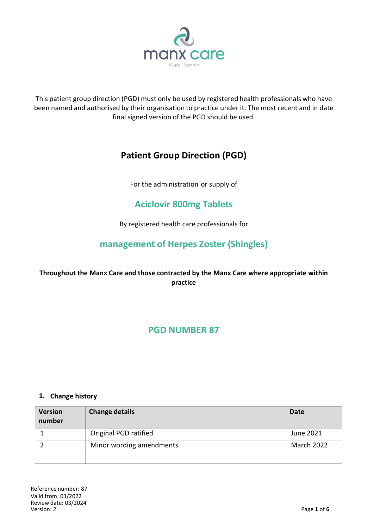

This patient group direction (PGD) must only be used by registered health professionals who have been named and authorised by their organisation to practice under it. The most recent and in date final signed version of the PGD should be used.

# **Patient Group Direction (PGD)**

For the administration or supply of

# **Aciclovir 800mg Tablets**

By registered health care professionals for

## **management of Herpes Zoster (Shingles)**

## **Throughout the Manx Care and those contracted by the Manx Care where appropriate within practice**

## **PGD NUMBER 87**

#### **1. Change history**

| <b>Version</b><br>number | <b>Change details</b>    | Date       |
|--------------------------|--------------------------|------------|
|                          | Original PGD ratified    | June 2021  |
|                          | Minor wording amendments | March 2022 |
|                          |                          |            |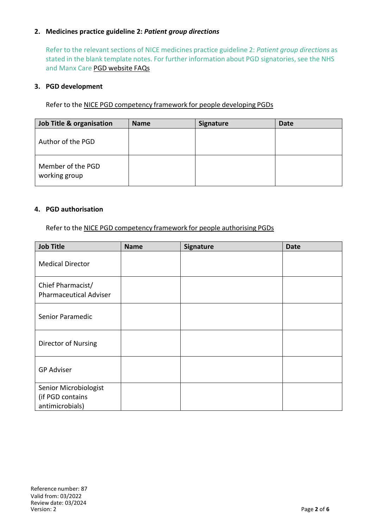#### **2. Medicines practice guideline 2:** *Patient group directions*

Refer to the relevant sections of NICE medicines practice guideline 2: *Patient group directions* as stated in the blank template notes. For further information about PGD signatories, see the NHS and Manx Care PGD [website](http://www.medicinesresources.nhs.uk/en/Communities/NHS/PGDs/FAQs/Questions-about-signatories-of-PGDs2) FAQs

#### **3. PGD development**

Refer to the NICE PGD [competency](http://www.nice.org.uk/guidance/mpg2/resources/mpg2-patient-group-directions3) framework for people developing PGDs

| Job Title & organisation           | <b>Name</b> | <b>Signature</b> | <b>Date</b> |
|------------------------------------|-------------|------------------|-------------|
| Author of the PGD                  |             |                  |             |
| Member of the PGD<br>working group |             |                  |             |

#### **4. PGD authorisation**

Refer to the NICE PGD [competency](http://www.nice.org.uk/guidance/mpg2/resources/mpg2-patient-group-directions5) framework for people authorising PGDs

| <b>Job Title</b>                                             | <b>Name</b> | Signature | <b>Date</b> |
|--------------------------------------------------------------|-------------|-----------|-------------|
| <b>Medical Director</b>                                      |             |           |             |
| Chief Pharmacist/<br><b>Pharmaceutical Adviser</b>           |             |           |             |
| Senior Paramedic                                             |             |           |             |
| Director of Nursing                                          |             |           |             |
| <b>GP Adviser</b>                                            |             |           |             |
| Senior Microbiologist<br>(if PGD contains<br>antimicrobials) |             |           |             |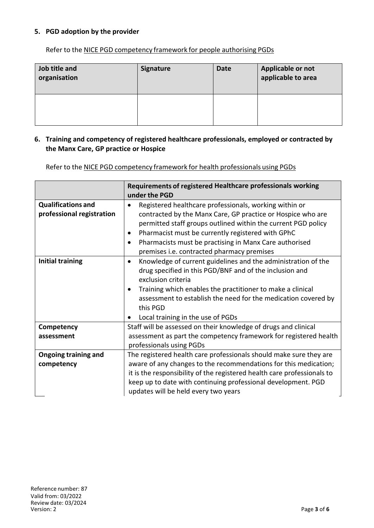#### **5. PGD adoption by the provider**

Refer to the NICE PGD [competency](http://www.nice.org.uk/guidance/mpg2/resources/mpg2-patient-group-directions5) framework for people authorising PGDs

| Job title and<br>organisation | <b>Signature</b> | <b>Date</b> | Applicable or not<br>applicable to area |
|-------------------------------|------------------|-------------|-----------------------------------------|
|                               |                  |             |                                         |

#### **6. Training and competency of registered healthcare professionals, employed or contracted by the Manx Care, GP practice or Hospice**

Refer to the NICE PGD competency framework for health professionals using PGDs

|                                                        | Requirements of registered Healthcare professionals working<br>under the PGD                                                                                                                                                                                                                                                                                          |  |
|--------------------------------------------------------|-----------------------------------------------------------------------------------------------------------------------------------------------------------------------------------------------------------------------------------------------------------------------------------------------------------------------------------------------------------------------|--|
| <b>Qualifications and</b><br>professional registration | Registered healthcare professionals, working within or<br>contracted by the Manx Care, GP practice or Hospice who are<br>permitted staff groups outlined within the current PGD policy<br>Pharmacist must be currently registered with GPhC<br>٠<br>Pharmacists must be practising in Manx Care authorised<br>$\bullet$<br>premises i.e. contracted pharmacy premises |  |
| <b>Initial training</b>                                | Knowledge of current guidelines and the administration of the<br>$\bullet$<br>drug specified in this PGD/BNF and of the inclusion and<br>exclusion criteria<br>Training which enables the practitioner to make a clinical<br>assessment to establish the need for the medication covered by<br>this PGD<br>Local training in the use of PGDs                          |  |
| Competency                                             | Staff will be assessed on their knowledge of drugs and clinical                                                                                                                                                                                                                                                                                                       |  |
| assessment                                             | assessment as part the competency framework for registered health<br>professionals using PGDs                                                                                                                                                                                                                                                                         |  |
| <b>Ongoing training and</b>                            | The registered health care professionals should make sure they are                                                                                                                                                                                                                                                                                                    |  |
| competency                                             | aware of any changes to the recommendations for this medication;<br>it is the responsibility of the registered health care professionals to                                                                                                                                                                                                                           |  |
|                                                        | keep up to date with continuing professional development. PGD<br>updates will be held every two years                                                                                                                                                                                                                                                                 |  |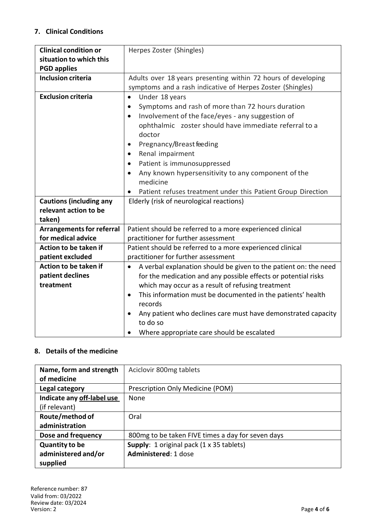### **7. Clinical Conditions**

| <b>Clinical condition or</b>     | Herpes Zoster (Shingles)                                                      |
|----------------------------------|-------------------------------------------------------------------------------|
| situation to which this          |                                                                               |
| <b>PGD applies</b>               |                                                                               |
| <b>Inclusion criteria</b>        | Adults over 18 years presenting within 72 hours of developing                 |
|                                  | symptoms and a rash indicative of Herpes Zoster (Shingles)                    |
| <b>Exclusion criteria</b>        | Under 18 years<br>$\bullet$                                                   |
|                                  | Symptoms and rash of more than 72 hours duration                              |
|                                  | Involvement of the face/eyes - any suggestion of<br>$\bullet$                 |
|                                  | ophthalmic zoster should have immediate referral to a                         |
|                                  | doctor                                                                        |
|                                  | Pregnancy/Breast feeding<br>$\bullet$                                         |
|                                  | Renal impairment<br>$\bullet$                                                 |
|                                  | Patient is immunosuppressed<br>$\bullet$                                      |
|                                  | Any known hypersensitivity to any component of the                            |
|                                  | medicine                                                                      |
|                                  | Patient refuses treatment under this Patient Group Direction                  |
| <b>Cautions (including any</b>   | Elderly (risk of neurological reactions)                                      |
| relevant action to be            |                                                                               |
| taken)                           |                                                                               |
| <b>Arrangements for referral</b> | Patient should be referred to a more experienced clinical                     |
| for medical advice               | practitioner for further assessment                                           |
| Action to be taken if            | Patient should be referred to a more experienced clinical                     |
| patient excluded                 | practitioner for further assessment                                           |
| Action to be taken if            | A verbal explanation should be given to the patient on: the need<br>$\bullet$ |
| patient declines                 | for the medication and any possible effects or potential risks                |
| treatment                        | which may occur as a result of refusing treatment                             |
|                                  | This information must be documented in the patients' health<br>$\bullet$      |
|                                  | records                                                                       |
|                                  | Any patient who declines care must have demonstrated capacity                 |
|                                  | to do so                                                                      |
|                                  | Where appropriate care should be escalated<br>$\bullet$                       |

#### **8. Details of the medicine**

| Name, form and strength    | Aciclovir 800mg tablets                           |
|----------------------------|---------------------------------------------------|
| of medicine                |                                                   |
| Legal category             | Prescription Only Medicine (POM)                  |
| Indicate any off-label use | None                                              |
| (if relevant)              |                                                   |
| Route/method of            | Oral                                              |
| administration             |                                                   |
| Dose and frequency         | 800mg to be taken FIVE times a day for seven days |
| <b>Quantity to be</b>      | Supply: 1 original pack (1 x 35 tablets)          |
| administered and/or        | Administered: 1 dose                              |
| supplied                   |                                                   |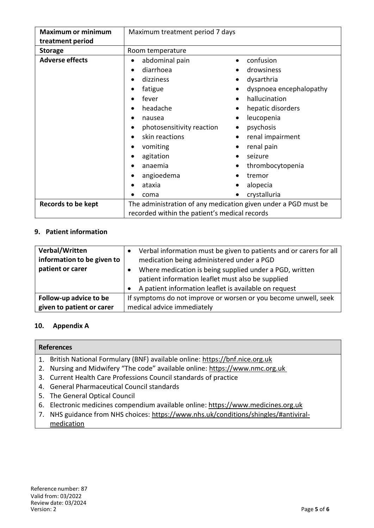| <b>Maximum or minimum</b> | Maximum treatment period 7 days                                |                         |
|---------------------------|----------------------------------------------------------------|-------------------------|
| treatment period          |                                                                |                         |
| <b>Storage</b>            | Room temperature                                               |                         |
| <b>Adverse effects</b>    | abdominal pain<br>$\bullet$                                    | confusion               |
|                           | diarrhoea                                                      | drowsiness              |
|                           | dizziness                                                      | dysarthria              |
|                           | fatigue<br>$\bullet$                                           | dyspnoea encephalopathy |
|                           | fever<br>$\bullet$                                             | hallucination           |
|                           | headache<br>$\bullet$                                          | hepatic disorders       |
|                           | nausea                                                         | leucopenia              |
|                           | photosensitivity reaction                                      | psychosis               |
|                           | skin reactions<br>$\bullet$                                    | renal impairment        |
|                           | vomiting                                                       | renal pain              |
|                           | agitation                                                      | seizure                 |
|                           | anaemia                                                        | thrombocytopenia        |
|                           | angioedema                                                     | tremor                  |
|                           | ataxia                                                         | alopecia                |
|                           | coma                                                           | crystalluria            |
| <b>Records to be kept</b> | The administration of any medication given under a PGD must be |                         |
|                           | recorded within the patient's medical records                  |                         |

## **9. Patient information**

| Verbal/Written<br>information to be given to<br>patient or carer | Verbal information must be given to patients and or carers for all<br>medication being administered under a PGD<br>Where medication is being supplied under a PGD, written<br>patient information leaflet must also be supplied<br>A patient information leaflet is available on request |
|------------------------------------------------------------------|------------------------------------------------------------------------------------------------------------------------------------------------------------------------------------------------------------------------------------------------------------------------------------------|
| Follow-up advice to be                                           | If symptoms do not improve or worsen or you become unwell, seek                                                                                                                                                                                                                          |
| given to patient or carer                                        | medical advice immediately                                                                                                                                                                                                                                                               |

### **10. Appendix A**

|    | <b>References</b>                                                                 |
|----|-----------------------------------------------------------------------------------|
|    | 1. British National Formulary (BNF) available online: https://bnf.nice.org.uk     |
|    | 2. Nursing and Midwifery "The code" available online: https://www.nmc.org.uk      |
|    | 3. Current Health Care Professions Council standards of practice                  |
|    | 4. General Pharmaceutical Council standards                                       |
| 5. | The General Optical Council                                                       |
|    | 6. Electronic medicines compendium available online: https://www.medicines.org.uk |
| 7. | NHS guidance from NHS choices: https://www.nhs.uk/conditions/shingles/#antiviral- |
|    | medication                                                                        |
|    |                                                                                   |